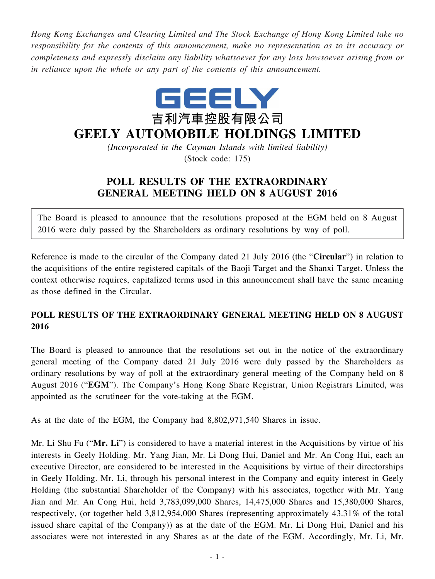*Hong Kong Exchanges and Clearing Limited and The Stock Exchange of Hong Kong Limited take no responsibility for the contents of this announcement, make no representation as to its accuracy or completeness and expressly disclaim any liability whatsoever for any loss howsoever arising from or in reliance upon the whole or any part of the contents of this announcement.*



## **GEELY AUTOMOBILE HOLDINGS LIMITED**

*(Incorporated in the Cayman Islands with limited liability)* (Stock code: 175)

## **POLL RESULTS OF THE EXTRAORDINARY GENERAL MEETING HELD ON 8 AUGUST 2016**

The Board is pleased to announce that the resolutions proposed at the EGM held on 8 August 2016 were duly passed by the Shareholders as ordinary resolutions by way of poll.

Reference is made to the circular of the Company dated 21 July 2016 (the "**Circular**") in relation to the acquisitions of the entire registered capitals of the Baoji Target and the Shanxi Target. Unless the context otherwise requires, capitalized terms used in this announcement shall have the same meaning as those defined in the Circular.

## **POLL RESULTS OF THE EXTRAORDINARY GENERAL MEETING HELD ON 8 AUGUST 2016**

The Board is pleased to announce that the resolutions set out in the notice of the extraordinary general meeting of the Company dated 21 July 2016 were duly passed by the Shareholders as ordinary resolutions by way of poll at the extraordinary general meeting of the Company held on 8 August 2016 ("**EGM**"). The Company's Hong Kong Share Registrar, Union Registrars Limited, was appointed as the scrutineer for the vote-taking at the EGM.

As at the date of the EGM, the Company had 8,802,971,540 Shares in issue.

Mr. Li Shu Fu ("**Mr. Li**") is considered to have a material interest in the Acquisitions by virtue of his interests in Geely Holding. Mr. Yang Jian, Mr. Li Dong Hui, Daniel and Mr. An Cong Hui, each an executive Director, are considered to be interested in the Acquisitions by virtue of their directorships in Geely Holding. Mr. Li, through his personal interest in the Company and equity interest in Geely Holding (the substantial Shareholder of the Company) with his associates, together with Mr. Yang Jian and Mr. An Cong Hui, held 3,783,099,000 Shares, 14,475,000 Shares and 15,380,000 Shares, respectively, (or together held 3,812,954,000 Shares (representing approximately 43.31% of the total issued share capital of the Company)) as at the date of the EGM. Mr. Li Dong Hui, Daniel and his associates were not interested in any Shares as at the date of the EGM. Accordingly, Mr. Li, Mr.